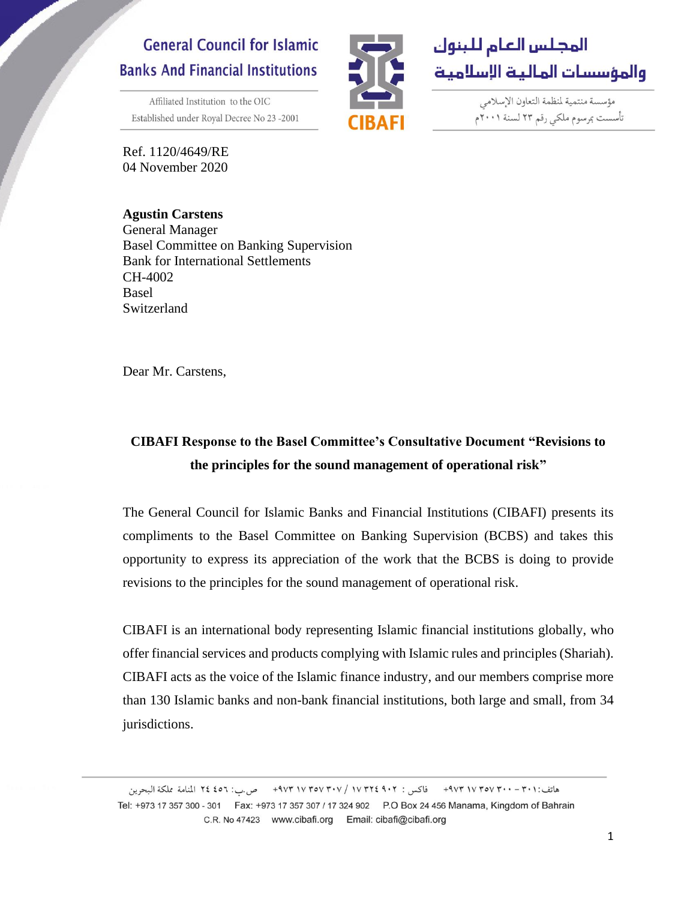## **General Council for Islamic Banks And Financial Institutions**

Affiliated Institution to the OIC Established under Royal Decree No 23-2001



مؤسسة منتمية لنظمة التعاون الإسلامي تأسست بمرسوم ملكي رقم ٢٣ لسنة ٢٠٠١م

Ref. 1120/4649/RE 04 November 2020

## **Agustin Carstens** General Manager Basel Committee on Banking Supervision Bank for International Settlements CH-4002 Basel Switzerland

Dear Mr. Carstens,

## **CIBAFI Response to the Basel Committee's Consultative Document "Revisions to the principles for the sound management of operational risk"**

The General Council for Islamic Banks and Financial Institutions (CIBAFI) presents its compliments to the Basel Committee on Banking Supervision (BCBS) and takes this opportunity to express its appreciation of the work that the BCBS is doing to provide revisions to the principles for the sound management of operational risk.

CIBAFI is an international body representing Islamic financial institutions globally, who offer financial services and products complying with Islamic rules and principles (Shariah). CIBAFI acts as the voice of the Islamic finance industry, and our members comprise more than 130 Islamic banks and non-bank financial institutions, both large and small, from 34 jurisdictions.

هاتف:٣٠١ - ٣٠٠ ٧٣٧٧ ٩٧٣ - فاكس : ٩٠٢ ١٧٣٥٧ / ٩٧٣ ١٧٣٥٧ - ص.ب: ٤٥٦ للنامة مملكة البحرين Tel: +973 17 357 300 - 301 Fax: +973 17 357 307 / 17 324 902 P.O Box 24 456 Manama, Kingdom of Bahrain C.R. No 47423 www.cibafi.org Email: cibafi@cibafi.org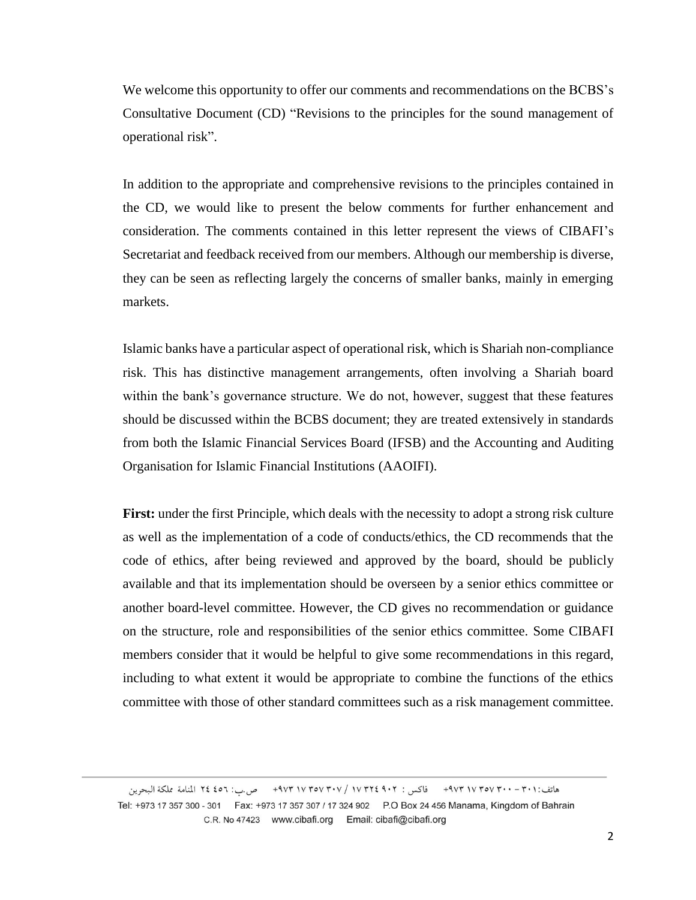We welcome this opportunity to offer our comments and recommendations on the BCBS's Consultative Document (CD) "Revisions to the principles for the sound management of operational risk".

In addition to the appropriate and comprehensive revisions to the principles contained in the CD, we would like to present the below comments for further enhancement and consideration. The comments contained in this letter represent the views of CIBAFI's Secretariat and feedback received from our members. Although our membership is diverse, they can be seen as reflecting largely the concerns of smaller banks, mainly in emerging markets.

Islamic banks have a particular aspect of operational risk, which is Shariah non-compliance risk. This has distinctive management arrangements, often involving a Shariah board within the bank's governance structure. We do not, however, suggest that these features should be discussed within the BCBS document; they are treated extensively in standards from both the Islamic Financial Services Board (IFSB) and the Accounting and Auditing Organisation for Islamic Financial Institutions (AAOIFI).

**First:** under the first Principle, which deals with the necessity to adopt a strong risk culture as well as the implementation of a code of conducts/ethics, the CD recommends that the code of ethics, after being reviewed and approved by the board, should be publicly available and that its implementation should be overseen by a senior ethics committee or another board-level committee. However, the CD gives no recommendation or guidance on the structure, role and responsibilities of the senior ethics committee. Some CIBAFI members consider that it would be helpful to give some recommendations in this regard, including to what extent it would be appropriate to combine the functions of the ethics committee with those of other standard committees such as a risk management committee.

هاتف:٢٠١ - ٢٠٠ ٧٣٧٧ ٩٧٣ - فاكس : ٢٠٢ 4٠٢ / ٧٣٧٧ / ٩٧٣ ١٧ ٩٧٣ - ص.ب: ٢٤ ٤٥ المنامة مملكة البحرين Tel: +973 17 357 300 - 301 Fax: +973 17 357 307 / 17 324 902 P.O Box 24 456 Manama, Kingdom of Bahrain C.R. No 47423 www.cibafi.org Email: cibafi@cibafi.org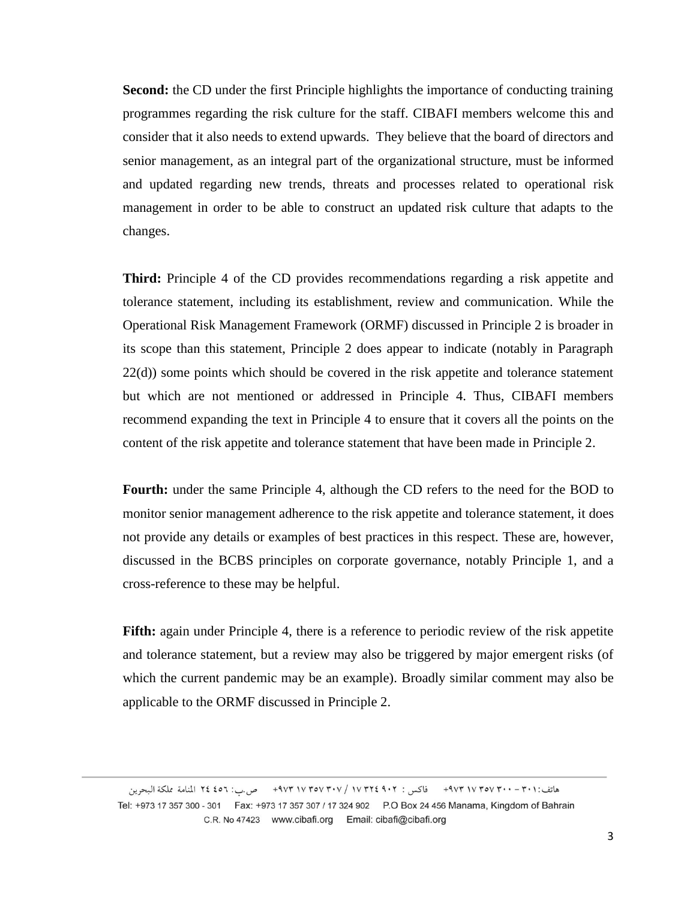**Second:** the CD under the first Principle highlights the importance of conducting training programmes regarding the risk culture for the staff. CIBAFI members welcome this and consider that it also needs to extend upwards. They believe that the board of directors and senior management, as an integral part of the organizational structure, must be informed and updated regarding new trends, threats and processes related to operational risk management in order to be able to construct an updated risk culture that adapts to the changes.

**Third:** Principle 4 of the CD provides recommendations regarding a risk appetite and tolerance statement, including its establishment, review and communication. While the Operational Risk Management Framework (ORMF) discussed in Principle 2 is broader in its scope than this statement, Principle 2 does appear to indicate (notably in Paragraph  $22(d)$ ) some points which should be covered in the risk appetite and tolerance statement but which are not mentioned or addressed in Principle 4. Thus, CIBAFI members recommend expanding the text in Principle 4 to ensure that it covers all the points on the content of the risk appetite and tolerance statement that have been made in Principle 2.

Fourth: under the same Principle 4, although the CD refers to the need for the BOD to monitor senior management adherence to the risk appetite and tolerance statement, it does not provide any details or examples of best practices in this respect. These are, however, discussed in the BCBS principles on corporate governance, notably Principle 1, and a cross-reference to these may be helpful.

**Fifth:** again under Principle 4, there is a reference to periodic review of the risk appetite and tolerance statement, but a review may also be triggered by major emergent risks (of which the current pandemic may be an example). Broadly similar comment may also be applicable to the ORMF discussed in Principle 2.